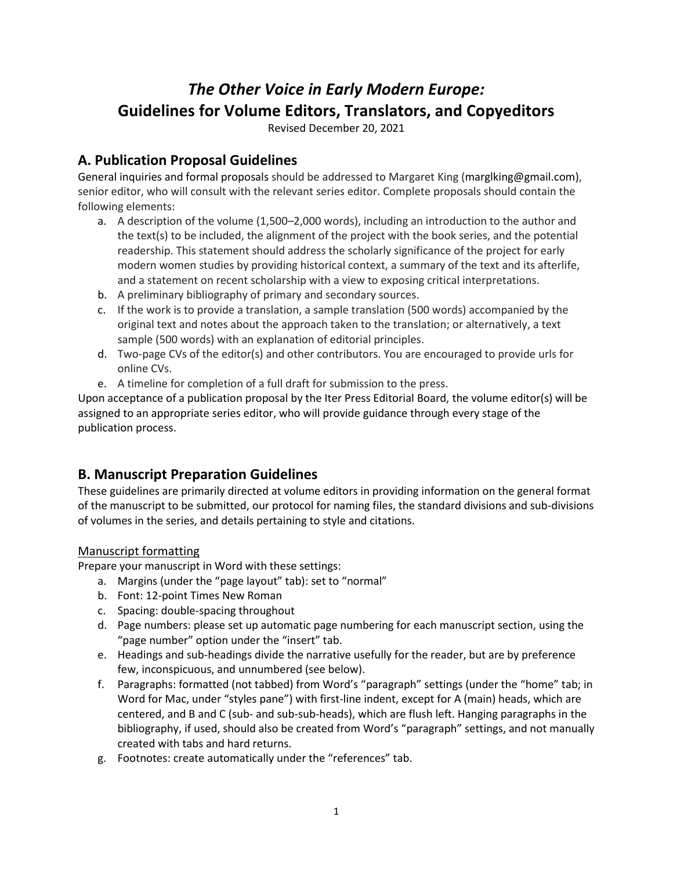# *The Other Voice in Early Modern Europe:* **Guidelines for Volume Editors, Translators, and Copyeditors**

Revised December 20, 2021

### **A. Publication Proposal Guidelines**

General inquiries and formal proposals should be addressed to Margaret King (marglking@gmail.com), senior editor, who will consult with the relevant series editor. Complete proposals should contain the following elements:

- a. A description of the volume (1,500–2,000 words), including an introduction to the author and the text(s) to be included, the alignment of the project with the book series, and the potential readership. This statement should address the scholarly significance of the project for early modern women studies by providing historical context, a summary of the text and its afterlife, and a statement on recent scholarship with a view to exposing critical interpretations.
- b. A preliminary bibliography of primary and secondary sources.
- c. If the work is to provide a translation, a sample translation (500 words) accompanied by the original text and notes about the approach taken to the translation; or alternatively, a text sample (500 words) with an explanation of editorial principles.
- d. Two-page CVs of the editor(s) and other contributors. You are encouraged to provide urls for online CVs.
- e. A timeline for completion of a full draft for submission to the press.

Upon acceptance of a publication proposal by the Iter Press Editorial Board, the volume editor(s) will be assigned to an appropriate series editor, who will provide guidance through every stage of the publication process.

### **B. Manuscript Preparation Guidelines**

These guidelines are primarily directed at volume editors in providing information on the general format of the manuscript to be submitted, our protocol for naming files, the standard divisions and sub-divisions of volumes in the series, and details pertaining to style and citations.

#### Manuscript formatting

Prepare your manuscript in Word with these settings:

- a. Margins (under the "page layout" tab): set to "normal"
- b. Font: 12-point Times New Roman
- c. Spacing: double-spacing throughout
- d. Page numbers: please set up automatic page numbering for each manuscript section, using the "page number" option under the "insert" tab.
- e. Headings and sub-headings divide the narrative usefully for the reader, but are by preference few, inconspicuous, and unnumbered (see below).
- f. Paragraphs: formatted (not tabbed) from Word's "paragraph" settings (under the "home" tab; in Word for Mac, under "styles pane") with first-line indent, except for A (main) heads, which are centered, and B and C (sub- and sub-sub-heads), which are flush left. Hanging paragraphs in the bibliography, if used, should also be created from Word's "paragraph" settings, and not manually created with tabs and hard returns.
- g. Footnotes: create automatically under the "references" tab.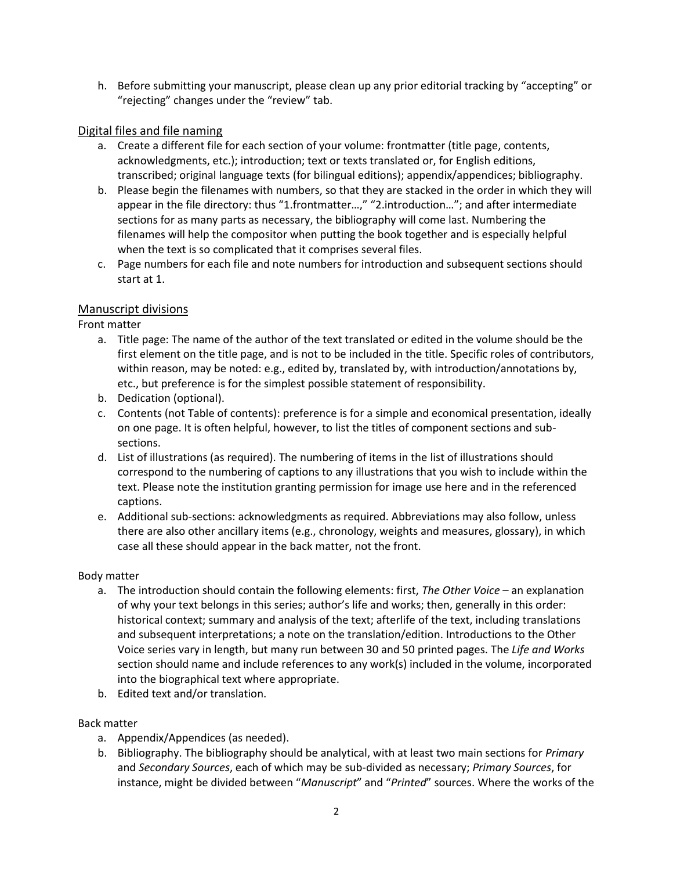h. Before submitting your manuscript, please clean up any prior editorial tracking by "accepting" or "rejecting" changes under the "review" tab.

#### Digital files and file naming

- a. Create a different file for each section of your volume: frontmatter (title page, contents, acknowledgments, etc.); introduction; text or texts translated or, for English editions, transcribed; original language texts (for bilingual editions); appendix/appendices; bibliography.
- b. Please begin the filenames with numbers, so that they are stacked in the order in which they will appear in the file directory: thus "1.frontmatter…," "2.introduction…"; and after intermediate sections for as many parts as necessary, the bibliography will come last. Numbering the filenames will help the compositor when putting the book together and is especially helpful when the text is so complicated that it comprises several files.
- c. Page numbers for each file and note numbers for introduction and subsequent sections should start at 1.

#### Manuscript divisions

Front matter

- a. Title page: The name of the author of the text translated or edited in the volume should be the first element on the title page, and is not to be included in the title. Specific roles of contributors, within reason, may be noted: e.g., edited by, translated by, with introduction/annotations by, etc., but preference is for the simplest possible statement of responsibility.
- b. Dedication (optional).
- c. Contents (not Table of contents): preference is for a simple and economical presentation, ideally on one page. It is often helpful, however, to list the titles of component sections and subsections.
- d. List of illustrations (as required). The numbering of items in the list of illustrations should correspond to the numbering of captions to any illustrations that you wish to include within the text. Please note the institution granting permission for image use here and in the referenced captions.
- e. Additional sub-sections: acknowledgments as required. Abbreviations may also follow, unless there are also other ancillary items (e.g., chronology, weights and measures, glossary), in which case all these should appear in the back matter, not the front.

#### Body matter

- a. The introduction should contain the following elements: first, *The Other Voice* an explanation of why your text belongs in this series; author's life and works; then, generally in this order: historical context; summary and analysis of the text; afterlife of the text, including translations and subsequent interpretations; a note on the translation/edition. Introductions to the Other Voice series vary in length, but many run between 30 and 50 printed pages. The *Life and Works* section should name and include references to any work(s) included in the volume, incorporated into the biographical text where appropriate.
- b. Edited text and/or translation.

#### Back matter

- a. Appendix/Appendices (as needed).
- b. Bibliography. The bibliography should be analytical, with at least two main sections for *Primary* and *Secondary Sources*, each of which may be sub-divided as necessary; *Primary Sources*, for instance, might be divided between "*Manuscript*" and "*Printed*" sources. Where the works of the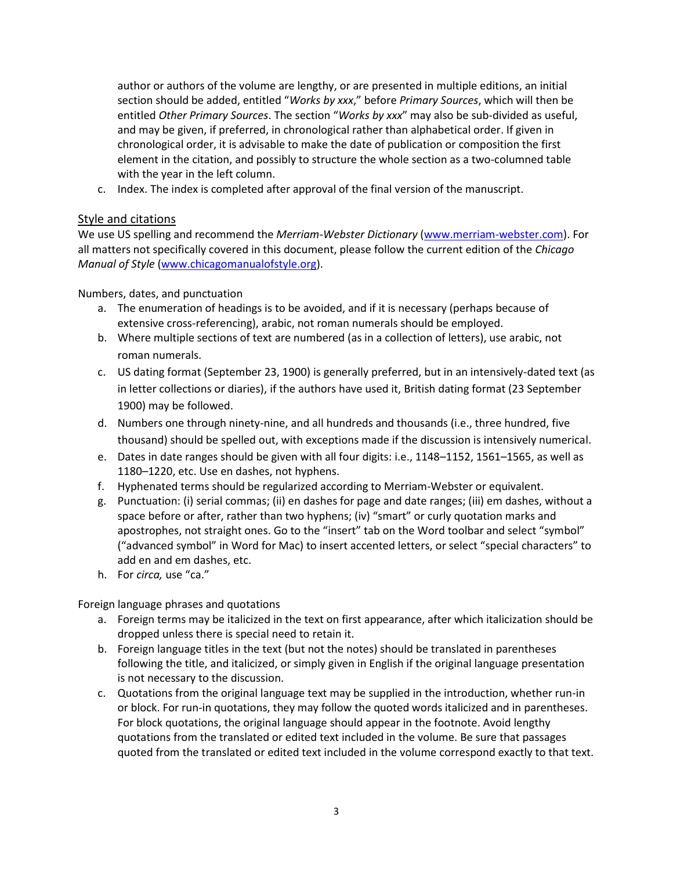author or authors of the volume are lengthy, or are presented in multiple editions, an initial section should be added, entitled "*Works by xxx*," before *Primary Sources*, which will then be entitled *Other Primary Sources*. The section "*Works by xxx*" may also be sub-divided as useful, and may be given, if preferred, in chronological rather than alphabetical order. If given in chronological order, it is advisable to make the date of publication or composition the first element in the citation, and possibly to structure the whole section as a two-columned table with the year in the left column.

c. Index. The index is completed after approval of the final version of the manuscript.

#### Style and citations

We use US spelling and recommend the *Merriam-Webster Dictionary* [\(www.merriam-webster.com\)](http://www.merriam-webster.com/). For all matters not specifically covered in this document, please follow the current edition of the *Chicago Manual of Style* [\(www.chicagomanualofstyle.org\)](http://www.chicagomanualofstyle.org/).

Numbers, dates, and punctuation

- a. The enumeration of headings is to be avoided, and if it is necessary (perhaps because of extensive cross-referencing), arabic, not roman numerals should be employed.
- b. Where multiple sections of text are numbered (as in a collection of letters), use arabic, not roman numerals.
- c. US dating format (September 23, 1900) is generally preferred, but in an intensively-dated text (as in letter collections or diaries), if the authors have used it, British dating format (23 September 1900) may be followed.
- d. Numbers one through ninety-nine, and all hundreds and thousands (i.e., three hundred, five thousand) should be spelled out, with exceptions made if the discussion is intensively numerical.
- e. Dates in date ranges should be given with all four digits: i.e., 1148–1152, 1561–1565, as well as 1180–1220, etc. Use en dashes, not hyphens.
- f. Hyphenated terms should be regularized according to Merriam-Webster or equivalent.
- g. Punctuation: (i) serial commas; (ii) en dashes for page and date ranges; (iii) em dashes, without a space before or after, rather than two hyphens; (iv) "smart" or curly quotation marks and apostrophes, not straight ones. Go to the "insert" tab on the Word toolbar and select "symbol" ("advanced symbol" in Word for Mac) to insert accented letters, or select "special characters" to add en and em dashes, etc.
- h. For *circa,* use "ca."

Foreign language phrases and quotations

- a. Foreign terms may be italicized in the text on first appearance, after which italicization should be dropped unless there is special need to retain it.
- b. Foreign language titles in the text (but not the notes) should be translated in parentheses following the title, and italicized, or simply given in English if the original language presentation is not necessary to the discussion.
- c. Quotations from the original language text may be supplied in the introduction, whether run-in or block. For run-in quotations, they may follow the quoted words italicized and in parentheses. For block quotations, the original language should appear in the footnote. Avoid lengthy quotations from the translated or edited text included in the volume. Be sure that passages quoted from the translated or edited text included in the volume correspond exactly to that text.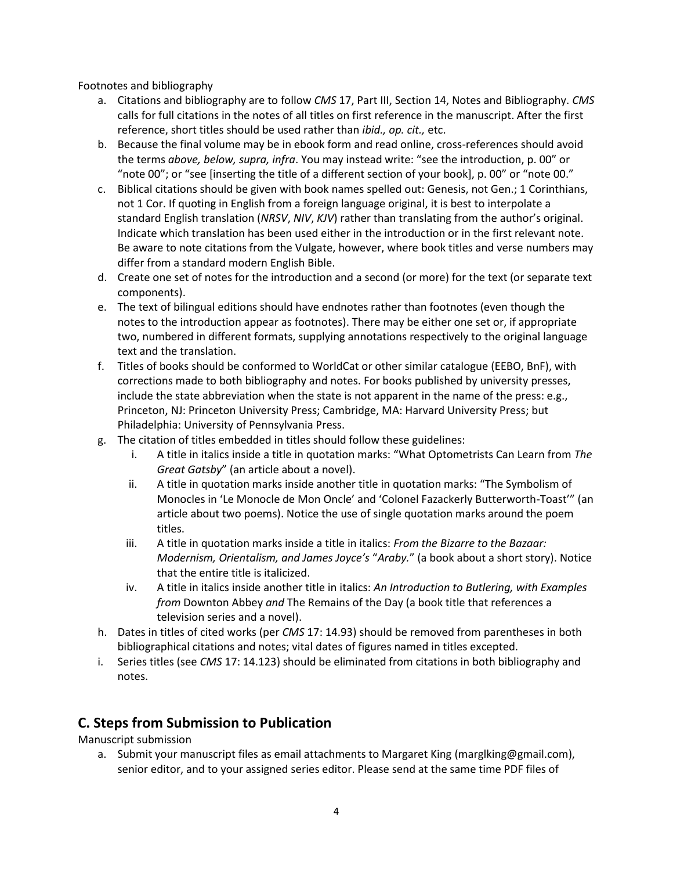Footnotes and bibliography

- a. Citations and bibliography are to follow *CMS* 17, Part III, Section 14, Notes and Bibliography. *CMS* calls for full citations in the notes of all titles on first reference in the manuscript. After the first reference, short titles should be used rather than *ibid., op. cit.,* etc.
- b. Because the final volume may be in ebook form and read online, cross-references should avoid the terms *above, below, supra, infra*. You may instead write: "see the introduction, p. 00" or "note 00"; or "see [inserting the title of a different section of your book], p. 00" or "note 00."
- c. Biblical citations should be given with book names spelled out: Genesis, not Gen.; 1 Corinthians, not 1 Cor. If quoting in English from a foreign language original, it is best to interpolate a standard English translation (*NRSV*, *NIV*, *KJV*) rather than translating from the author's original. Indicate which translation has been used either in the introduction or in the first relevant note. Be aware to note citations from the Vulgate, however, where book titles and verse numbers may differ from a standard modern English Bible.
- d. Create one set of notes for the introduction and a second (or more) for the text (or separate text components).
- e. The text of bilingual editions should have endnotes rather than footnotes (even though the notes to the introduction appear as footnotes). There may be either one set or, if appropriate two, numbered in different formats, supplying annotations respectively to the original language text and the translation.
- f. Titles of books should be conformed to WorldCat or other similar catalogue (EEBO, BnF), with corrections made to both bibliography and notes. For books published by university presses, include the state abbreviation when the state is not apparent in the name of the press: e.g., Princeton, NJ: Princeton University Press; Cambridge, MA: Harvard University Press; but Philadelphia: University of Pennsylvania Press.
- g. The citation of titles embedded in titles should follow these guidelines:
	- i. A title in italics inside a title in quotation marks: "What Optometrists Can Learn from *The Great Gatsby*" (an article about a novel).
	- ii. A title in quotation marks inside another title in quotation marks: "The Symbolism of Monocles in 'Le Monocle de Mon Oncle' and 'Colonel Fazackerly Butterworth-Toast'" (an article about two poems). Notice the use of single quotation marks around the poem titles.
	- iii. A title in quotation marks inside a title in italics: *From the Bizarre to the Bazaar: Modernism, Orientalism, and James Joyce's* "*Araby.*" (a book about a short story). Notice that the entire title is italicized.
	- iv. A title in italics inside another title in italics: *An Introduction to Butlering, with Examples from* Downton Abbey *and* The Remains of the Day (a book title that references a television series and a novel).
- h. Dates in titles of cited works (per *CMS* 17: 14.93) should be removed from parentheses in both bibliographical citations and notes; vital dates of figures named in titles excepted.
- i. Series titles (see *CMS* 17: 14.123) should be eliminated from citations in both bibliography and notes.

## **C. Steps from Submission to Publication**

Manuscript submission

a. Submit your manuscript files as email attachments to Margaret King (marglking@gmail.com), senior editor, and to your assigned series editor. Please send at the same time PDF files of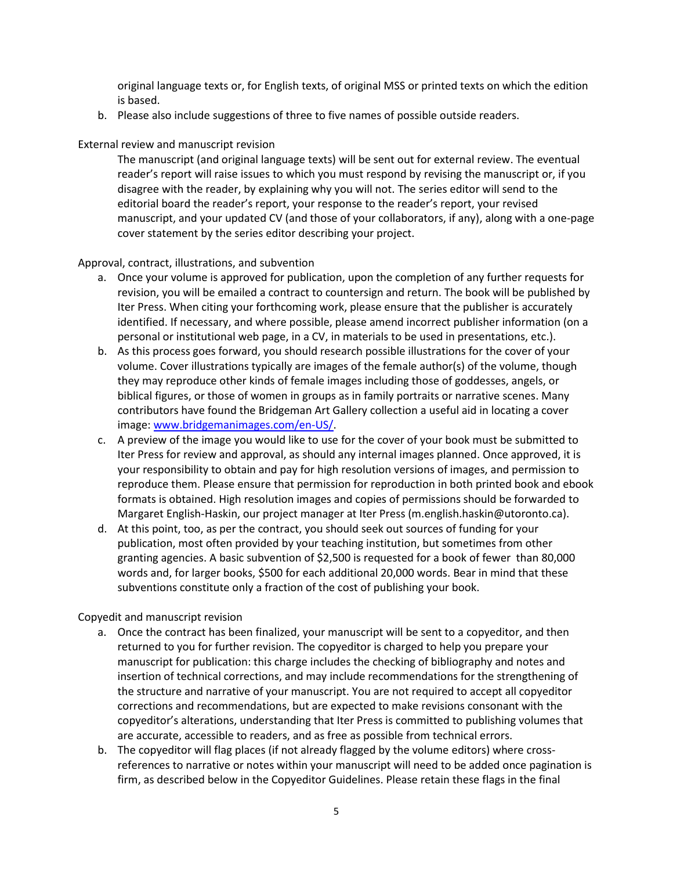original language texts or, for English texts, of original MSS or printed texts on which the edition is based.

b. Please also include suggestions of three to five names of possible outside readers.

External review and manuscript revision

The manuscript (and original language texts) will be sent out for external review. The eventual reader's report will raise issues to which you must respond by revising the manuscript or, if you disagree with the reader, by explaining why you will not. The series editor will send to the editorial board the reader's report, your response to the reader's report, your revised manuscript, and your updated CV (and those of your collaborators, if any), along with a one-page cover statement by the series editor describing your project.

Approval, contract, illustrations, and subvention

- a. Once your volume is approved for publication, upon the completion of any further requests for revision, you will be emailed a contract to countersign and return. The book will be published by Iter Press. When citing your forthcoming work, please ensure that the publisher is accurately identified. If necessary, and where possible, please amend incorrect publisher information (on a personal or institutional web page, in a CV, in materials to be used in presentations, etc.).
- b. As this process goes forward, you should research possible illustrations for the cover of your volume. Cover illustrations typically are images of the female author(s) of the volume, though they may reproduce other kinds of female images including those of goddesses, angels, or biblical figures, or those of women in groups as in family portraits or narrative scenes. Many contributors have found the Bridgeman Art Gallery collection a useful aid in locating a cover image: [www.bridgemanimages.com/en-US/.](http://www.bridgemanimages.com/en-US/)
- c. A preview of the image you would like to use for the cover of your book must be submitted to Iter Press for review and approval, as should any internal images planned. Once approved, it is your responsibility to obtain and pay for high resolution versions of images, and permission to reproduce them. Please ensure that permission for reproduction in both printed book and ebook formats is obtained. High resolution images and copies of permissions should be forwarded to Margaret English-Haskin, our project manager at Iter Press (m.english.haskin@utoronto.ca).
- d. At this point, too, as per the contract, you should seek out sources of funding for your publication, most often provided by your teaching institution, but sometimes from other granting agencies. A basic subvention of \$2,500 is requested for a book of fewer than 80,000 words and, for larger books, \$500 for each additional 20,000 words. Bear in mind that these subventions constitute only a fraction of the cost of publishing your book.

Copyedit and manuscript revision

- a. Once the contract has been finalized, your manuscript will be sent to a copyeditor, and then returned to you for further revision. The copyeditor is charged to help you prepare your manuscript for publication: this charge includes the checking of bibliography and notes and insertion of technical corrections, and may include recommendations for the strengthening of the structure and narrative of your manuscript. You are not required to accept all copyeditor corrections and recommendations, but are expected to make revisions consonant with the copyeditor's alterations, understanding that Iter Press is committed to publishing volumes that are accurate, accessible to readers, and as free as possible from technical errors.
- b. The copyeditor will flag places (if not already flagged by the volume editors) where crossreferences to narrative or notes within your manuscript will need to be added once pagination is firm, as described below in the Copyeditor Guidelines. Please retain these flags in the final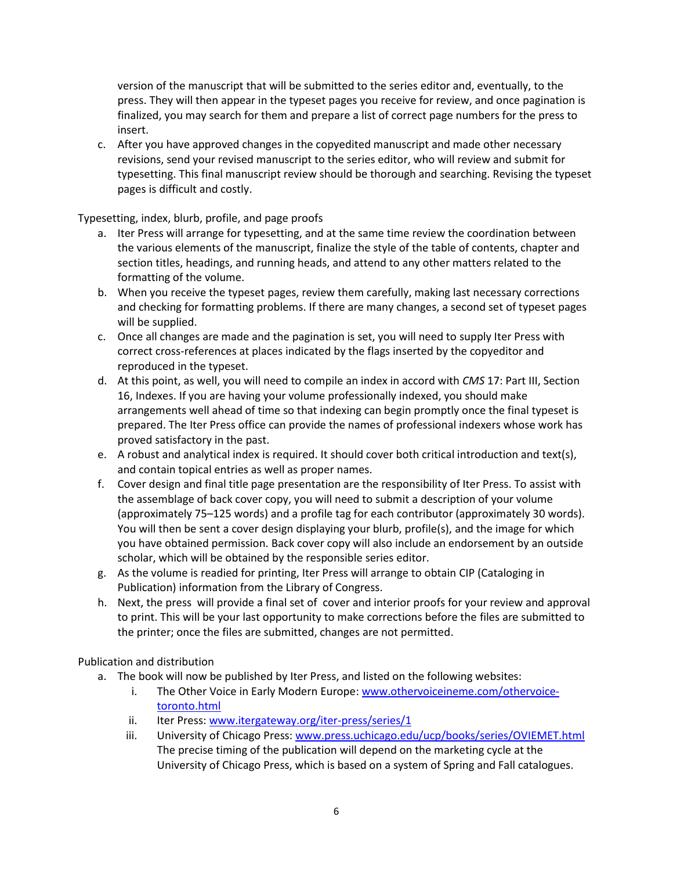version of the manuscript that will be submitted to the series editor and, eventually, to the press. They will then appear in the typeset pages you receive for review, and once pagination is finalized, you may search for them and prepare a list of correct page numbers for the press to insert.

c. After you have approved changes in the copyedited manuscript and made other necessary revisions, send your revised manuscript to the series editor, who will review and submit for typesetting. This final manuscript review should be thorough and searching. Revising the typeset pages is difficult and costly.

Typesetting, index, blurb, profile, and page proofs

- a. Iter Press will arrange for typesetting, and at the same time review the coordination between the various elements of the manuscript, finalize the style of the table of contents, chapter and section titles, headings, and running heads, and attend to any other matters related to the formatting of the volume.
- b. When you receive the typeset pages, review them carefully, making last necessary corrections and checking for formatting problems. If there are many changes, a second set of typeset pages will be supplied.
- c. Once all changes are made and the pagination is set, you will need to supply Iter Press with correct cross-references at places indicated by the flags inserted by the copyeditor and reproduced in the typeset.
- d. At this point, as well, you will need to compile an index in accord with *CMS* 17: Part III, Section 16, Indexes. If you are having your volume professionally indexed, you should make arrangements well ahead of time so that indexing can begin promptly once the final typeset is prepared. The Iter Press office can provide the names of professional indexers whose work has proved satisfactory in the past.
- e. A robust and analytical index is required. It should cover both critical introduction and text(s), and contain topical entries as well as proper names.
- f. Cover design and final title page presentation are the responsibility of Iter Press. To assist with the assemblage of back cover copy, you will need to submit a description of your volume (approximately 75–125 words) and a profile tag for each contributor (approximately 30 words). You will then be sent a cover design displaying your blurb, profile(s), and the image for which you have obtained permission. Back cover copy will also include an endorsement by an outside scholar, which will be obtained by the responsible series editor.
- g. As the volume is readied for printing, Iter Press will arrange to obtain CIP (Cataloging in Publication) information from the Library of Congress.
- h. Next, the press will provide a final set of cover and interior proofs for your review and approval to print. This will be your last opportunity to make corrections before the files are submitted to the printer; once the files are submitted, changes are not permitted.

Publication and distribution

- a. The book will now be published by Iter Press, and listed on the following websites:
	- i. The Other Voice in Early Modern Europe: [www.othervoiceineme.com/othervoice](http://www.othervoiceineme.com/othervoice-toronto.html)[toronto.html](http://www.othervoiceineme.com/othervoice-toronto.html)
	- ii. Iter Press: [www.itergateway.org/iter-press/series/1](http://www.itergateway.org/iter-press/series/1)
	- iii. University of Chicago Press: [www.press.uchicago.edu/ucp/books/series/OVIEMET.html](http://www.press.uchicago.edu/ucp/books/series/OVIEMET.html) The precise timing of the publication will depend on the marketing cycle at the University of Chicago Press, which is based on a system of Spring and Fall catalogues.